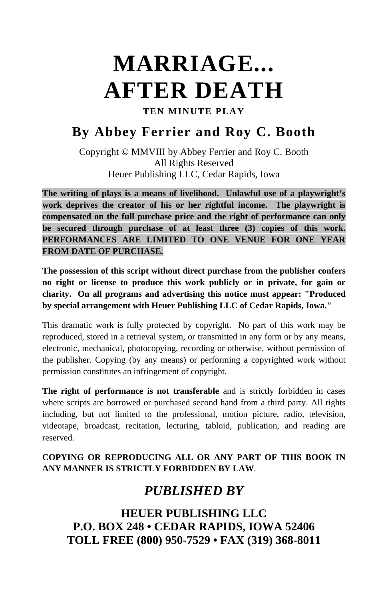# **MARRIAGE... AFTER DEATH**

**TEN MINUTE PLAY**

# **By Abbey Ferrier and Roy C. Booth**

Copyright © MMVIII by Abbey Ferrier and Roy C. Booth All Rights Reserved Heuer Publishing LLC, Cedar Rapids, Iowa

**The writing of plays is a means of livelihood. Unlawful use of a playwright's work deprives the creator of his or her rightful income. The playwright is compensated on the full purchase price and the right of performance can only be secured through purchase of at least three (3) copies of this work. PERFORMANCES ARE LIMITED TO ONE VENUE FOR ONE YEAR FROM DATE OF PURCHASE.** 

**The possession of this script without direct purchase from the publisher confers no right or license to produce this work publicly or in private, for gain or charity. On all programs and advertising this notice must appear: "Produced by special arrangement with Heuer Publishing LLC of Cedar Rapids, Iowa."** 

This dramatic work is fully protected by copyright. No part of this work may be reproduced, stored in a retrieval system, or transmitted in any form or by any means, electronic, mechanical, photocopying, recording or otherwise, without permission of the publisher. Copying (by any means) or performing a copyrighted work without permission constitutes an infringement of copyright.

**The right of performance is not transferable** and is strictly forbidden in cases where scripts are borrowed or purchased second hand from a third party. All rights including, but not limited to the professional, motion picture, radio, television, videotape, broadcast, recitation, lecturing, tabloid, publication, and reading are reserved.

#### **COPYING OR REPRODUCING ALL OR ANY PART OF THIS BOOK IN ANY MANNER IS STRICTLY FORBIDDEN BY LAW**.

## *PUBLISHED BY*

**HEUER PUBLISHING LLC P.O. BOX 248 • CEDAR RAPIDS, IOWA 52406 TOLL FREE (800) 950-7529 • FAX (319) 368-8011**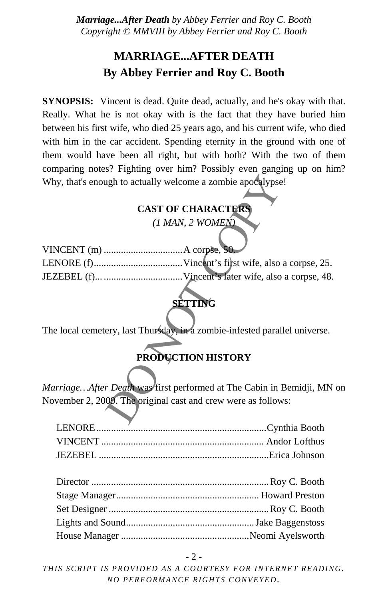## **MARRIAGE...AFTER DEATH By Abbey Ferrier and Roy C. Booth**

**SYNOPSIS:** Vincent is dead. Quite dead, actually, and he's okay with that. Really. What he is not okay with is the fact that they have buried him between his first wife, who died 25 years ago, and his current wife, who died with him in the car accident. Spending eternity in the ground with one of them would have been all right, but with both? With the two of them comparing notes? Fighting over him? Possibly even ganging up on him? Why, that's enough to actually welcome a zombie apocalypse!

#### **CAST OF CHARACTER**

| Why, that's enough to actually welcome a zombie apocalypse!                                  |
|----------------------------------------------------------------------------------------------|
| <b>CAST OF CHARACTERS</b>                                                                    |
| $(1$ MAN, 2 WOMEN)                                                                           |
|                                                                                              |
|                                                                                              |
|                                                                                              |
| <b>SETTING</b><br>The local cemetery, last Thursday, in a zombie-infested parallel universe. |
| PRODUCTION HISTORY                                                                           |
| MarriageAfter Death was first performed at The Cabin in Bemidji, MN                          |
| November 2, 2009. The original cast and crew were as follows:                                |
|                                                                                              |

## **SETTING**

### **PRODUCTION HISTORY**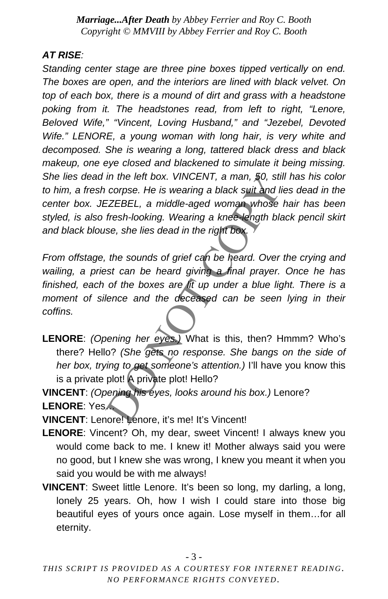#### *AT RISE:*

*Standing center stage are three pine boxes tipped vertically on end. The boxes are open, and the interiors are lined with black velvet. On top of each box, there is a mound of dirt and grass with a headstone poking from it. The headstones read, from left to right, "Lenore, Beloved Wife," "Vincent, Loving Husband," and "Jezebel, Devoted Wife." LENORE, a young woman with long hair, is very white and decomposed. She is wearing a long, tattered black dress and black makeup, one eye closed and blackened to simulate it being missing. She lies dead in the left box. VINCENT, a man, 50, still has his color to him, a fresh corpse. He is wearing a black suit and lies dead in the center box. JEZEBEL, a middle-aged woman whose hair has been styled, is also fresh-looking. Wearing a knee-length black pencil skirt and black blouse, she lies dead in the right box.* 

in the left box. VINCENT, a man, 50, still has his<br>corpse. He is wearing a black suit and lies deace<br>EZEBEL, a middle-aged woman whose hair has<br>fresh-looking. Wearing a knee length black pense, she lies dead in the right b *From offstage, the sounds of grief can be heard. Over the crying and wailing, a priest can be heard giving a final prayer. Once he has finished, each of the boxes are lit up under a blue light. There is a moment of silence and the deceased can be seen lying in their coffins.* 

**LENORE**: *(Opening her eyes.)* What is this, then? Hmmm? Who's there? Hello? *(She gets no response. She bangs on the side of her box, trying to get someone's attention.)* I'll have you know this is a private plot! A private plot! Hello?

**VINCENT**: *(Opening his eyes, looks around his box.)* Lenore? **LENORE**: Yes…

**VINCENT**: Lenore! Lenore, it's me! It's Vincent!

- **LENORE**: Vincent? Oh, my dear, sweet Vincent! I always knew you would come back to me. I knew it! Mother always said you were no good, but I knew she was wrong, I knew you meant it when you said you would be with me always!
- **VINCENT**: Sweet little Lenore. It's been so long, my darling, a long, lonely 25 years. Oh, how I wish I could stare into those big beautiful eyes of yours once again. Lose myself in them…for all eternity.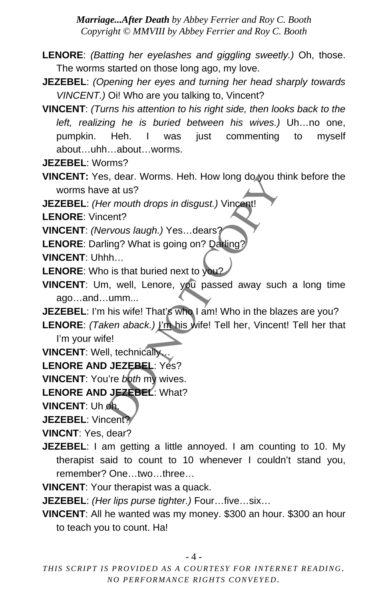- **LENORE**: *(Batting her eyelashes and giggling sweetly.)* Oh, those. The worms started on those long ago, my love.
- **JEZEBEL**: *(Opening her eyes and turning her head sharply towards VINCENT.)* Oi! Who are you talking to, Vincent?
- **VINCENT**: *(Turns his attention to his right side, then looks back to the left, realizing he is buried between his wives.)* Uh…no one, pumpkin. Heh. I was just commenting to myself about…uhh…about…worms.
- **JEZEBEL**: Worms?
- **VINCENT:** Yes, dear. Worms. Heh. How long do you think before the worms have at us?
- **JEZEBEL**: *(Her mouth drops in disgust.)* Vincent!

**LENORE**: Vincent?

- **VINCENT**: *(Nervous laugh.)* Yes…dears?
- **LENORE**: Darling? What is going on? Darling?
- **VINCENT**: Uhhh…
- **LENORE**: Who is that buried next to you?
- s, dear. Worms. Heh. How long do you think before at us?<br>
at us?<br>
per mouth drops in disgust.) Vincent!<br>
cent?<br>
ent?<br>
ent?<br>
per mouth drops in disgust.) Vincent!<br>
ting? What is going on? Datling?<br>
hh...<br>
bis is that buried **VINCENT**: Um, well, Lenore, you passed away such a long time ago…and…umm...
- **JEZEBEL:** I'm his wife! That's who I am! Who in the blazes are you?
- **LENORE**: *(Taken aback.)* I'm his wife! Tell her, Vincent! Tell her that I'm your wife!
- **VINCENT**: Well, technically…
- **LENORE AND JEZEBEL: Yes?**
- **VINCENT**: You're *both* my wives.
- **LENORE AND JEZEBEL**: What?
- **VINCENT**: Uh oh.

**JEZEBEL**: Vincent?

**VINCNT**: Yes, dear?

- **JEZEBEL:** I am getting a little annoyed. I am counting to 10. My therapist said to count to 10 whenever I couldn't stand you, remember? One…two…three…
- **VINCENT**: Your therapist was a quack.

**JEZEBEL**: *(Her lips purse tighter.)* Four…five…six…

**VINCENT**: All he wanted was my money. \$300 an hour. \$300 an hour to teach you to count. Ha!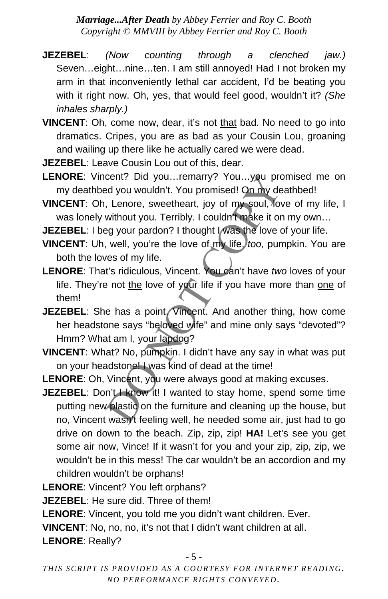- **JEZEBEL**: *(Now counting through a clenched jaw.)* Seven…eight…nine…ten. I am still annoyed! Had I not broken my arm in that inconveniently lethal car accident, I'd be beating you with it right now. Oh, yes, that would feel good, wouldn't it? *(She inhales sharply.)*
- **VINCENT**: Oh, come now, dear, it's not that bad. No need to go into dramatics. Cripes, you are as bad as your Cousin Lou, groaning and wailing up there like he actually cared we were dead.
- **JEZEBEL**: Leave Cousin Lou out of this, dear.
- LENORE: Vincent? Did you...remarry? You...you promised me on my deathbed you wouldn't. You promised! On my deathbed!
- **VINCENT**: Oh, Lenore, sweetheart, joy of my soul, love of my life, I was lonely without you. Terribly. I couldn't make it on my own...

**JEZEBEL:** I beg your pardon? I thought I was the love of your life.

- **VINCENT:** Uh, well, you're the love of my life, *too*, pumpkin. You are both the loves of my life.
- cent? Did you...remarry? You...you promised led you wouldn't. You promised! On my deathbed!<br>
, Lenore, sweetheart, joy of my soul, love of my<br>
without you. Terribly. I couldn't make it on my owigy<br>
syour pardon? I thought **LENORE**: That's ridiculous, Vincent. You can't have *two* loves of your life. They're not the love of your life if you have more than one of them!
- **JEZEBEL:** She has a point, Vincent. And another thing, how come her headstone says "beloved wife" and mine only says "devoted"? Hmm? What am I, your lapdog?
- **VINCENT**: What? No, pumpkin. I didn't have any say in what was put on your headstone! I was kind of dead at the time!
- **LENORE**: Oh, Vincent, you were always good at making excuses.
- **JEZEBEL:** Don't I know it! I wanted to stay home, spend some time putting new plastic on the furniture and cleaning up the house, but no, Vincent wasn't feeling well, he needed some air, just had to go drive on down to the beach. Zip, zip, zip! **HA!** Let's see you get some air now, Vince! If it wasn't for you and your zip, zip, zip, we wouldn't be in this mess! The car wouldn't be an accordion and my children wouldn't be orphans!

**LENORE**: Vincent? You left orphans?

**JEZEBEL**: He sure did. Three of them!

**LENORE**: Vincent, you told me you didn't want children. Ever.

**VINCENT**: No, no, no, it's not that I didn't want children at all.

**LENORE**: Really?

- 5 -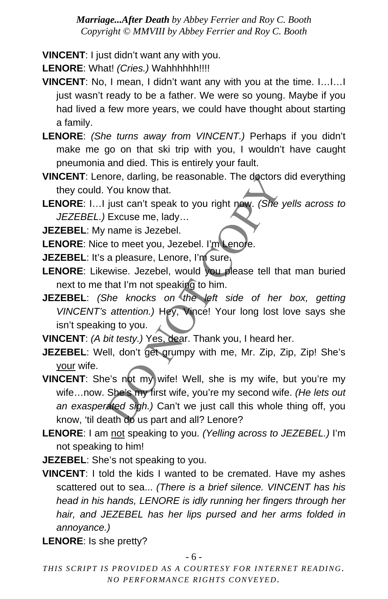**VINCENT**: I just didn't want any with you.

**LENORE**: What! *(Cries.)* Wahhhhhh!!!!

- **VINCENT**: No, I mean, I didn't want any with you at the time. I…I…I just wasn't ready to be a father. We were so young. Maybe if you had lived a few more years, we could have thought about starting a family.
- **LENORE**: *(She turns away from VINCENT.)* Perhaps if you didn't make me go on that ski trip with you, I wouldn't have caught pneumonia and died. This is entirely your fault.
- **VINCENT**: Lenore, darling, be reasonable. The doctors did everything they could. You know that.
- **LENORE**: I…I just can't speak to you right now. *(She yells across to JEZEBEL.)* Excuse me, lady…

**JEZEBEL**: My name is Jezebel.

LENORE: Nice to meet you, Jezebel. I'm Lenore.

**JEZEBEL**: It's a pleasure, Lenore, I'm sure.

- **LENORE**: Likewise. Jezebel, would you please tell that man buried next to me that I'm not speaking to him.
- **JEZEBEL**: *(She knocks on the left side of her box, getting VINCENT's attention.)* Hey, Vince! Your long lost love says she isn't speaking to you.

**VINCENT**: *(A bit testy.)* Yes, dear. Thank you, I heard her.

- **JEZEBEL:** Well, don't get grumpy with me, Mr. Zip, Zip, Zip! She's your wife.
- nore, darling, be reasonable. The doctors did eve<br>
You know that.<br>
just can't speak to you right now. (She yells ac.<br>
Excuse me, lady...<br>
name is Jezebel.<br>
a to meet you, Jezebel. I'm Lenore.<br>
a pleasure, Lenore, I'm sure, **VINCENT:** She's not my wife! Well, she is my wife, but you're my wife…now. She's my first wife, you're my second wife. *(He lets out an exasperated sigh.)* Can't we just call this whole thing off, you know, 'til death do us part and all? Lenore?
- **LENORE**: I am not speaking to you. *(Yelling across to JEZEBEL.)* I'm not speaking to him!

**JEZEBEL:** She's not speaking to you.

**VINCENT**: I told the kids I wanted to be cremated. Have my ashes scattered out to sea... *(There is a brief silence. VINCENT has his head in his hands, LENORE is idly running her fingers through her hair, and JEZEBEL has her lips pursed and her arms folded in annoyance.)*

**LENORE**: Is she pretty?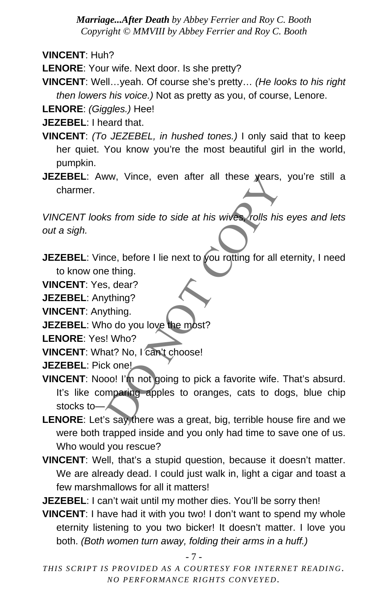**VINCENT**: Huh?

**LENORE**: Your wife. Next door. Is she pretty?

**VINCENT**: Well…yeah. Of course she's pretty… *(He looks to his right then lowers his voice.)* Not as pretty as you, of course, Lenore.

**LENORE**: *(Giggles.)* Hee!

**JEZEBEL**: I heard that.

- **VINCENT**: *(To JEZEBEL, in hushed tones.)* I only said that to keep her quiet. You know you're the most beautiful girl in the world, pumpkin.
- **JEZEBEL**: Aww, Vince, even after all these years, you're still a charmer.

*VINCENT looks from side to side at his wives, rolls his eyes and lets out a sigh.* 

**JEZEBEL:** Vince, before I lie next to you rotting for all eternity, I need to know one thing.

**VINCENT**: Yes, dear?

**JEZEBEL**: Anything?

**VINCENT**: Anything.

**JEZEBEL:** Who do you love the most?

**LENORE**: Yes! Who?

**VINCENT:** What? No, I can't choose!

**JEZEBEL**: Pick one!

- W, Vince, even after all these years, you're<br>
star from side to side at his wives, rolls his eyes a<br>
notice, before I lie next to you rotting for all eternity,<br>
ething.<br>
s, dear?<br>
thing?<br>
Notice is the most?<br>
Notice is a f **VINCENT**: Nooo! I'm not going to pick a favorite wife. That's absurd. It's like comparing apples to oranges, cats to dogs, blue chip stocks to—
- **LENORE**: Let's say there was a great, big, terrible house fire and we were both trapped inside and you only had time to save one of us. Who would you rescue?
- **VINCENT**: Well, that's a stupid question, because it doesn't matter. We are already dead. I could just walk in, light a cigar and toast a few marshmallows for all it matters!

**JEZEBEL:** I can't wait until my mother dies. You'll be sorry then!

**VINCENT**: I have had it with you two! I don't want to spend my whole eternity listening to you two bicker! It doesn't matter. I love you both. *(Both women turn away, folding their arms in a huff.)*

- 7 -